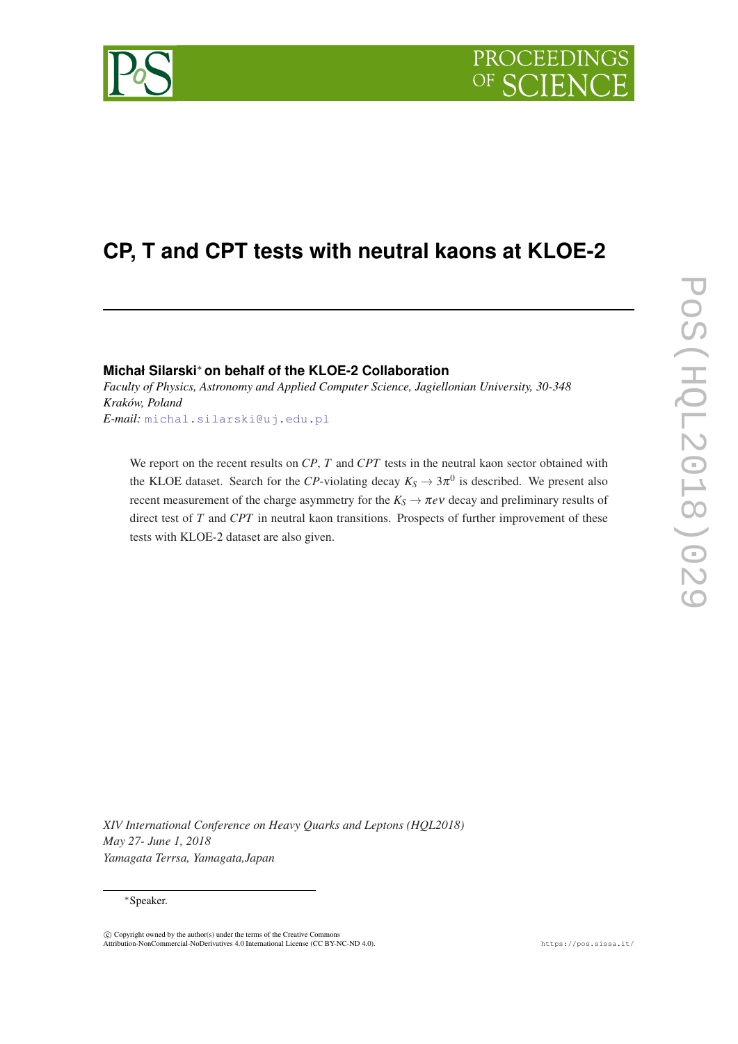

# **CP, T and CPT tests with neutral kaons at KLOE-2**

## **Michał Silarski**<sup>∗</sup> **on behalf of the KLOE-2 Collaboration**

*Faculty of Physics, Astronomy and Applied Computer Science, Jagiellonian University, 30-348 Kraków, Poland E-mail:* [michal.silarski@uj.edu.pl](mailto:michal.silarski@uj.edu.pl)

We report on the recent results on *CP*, *T* and *CPT* tests in the neutral kaon sector obtained with the KLOE dataset. Search for the *CP*-violating decay  $K_S \to 3\pi^0$  is described. We present also recent measurement of the charge asymmetry for the  $K_S \rightarrow \pi e \nu$  decay and preliminary results of direct test of *T* and *CPT* in neutral kaon transitions. Prospects of further improvement of these tests with KLOE-2 dataset are also given.

*XIV International Conference on Heavy Quarks and Leptons (HQL2018) May 27- June 1, 2018 Yamagata Terrsa, Yamagata,Japan*

### <sup>∗</sup>Speaker.



 $\overline{c}$  Copyright owned by the author(s) under the terms of the Creative Common Attribution-NonCommercial-NoDerivatives 4.0 International License (CC BY-NC-ND 4.0). https://pos.sissa.it/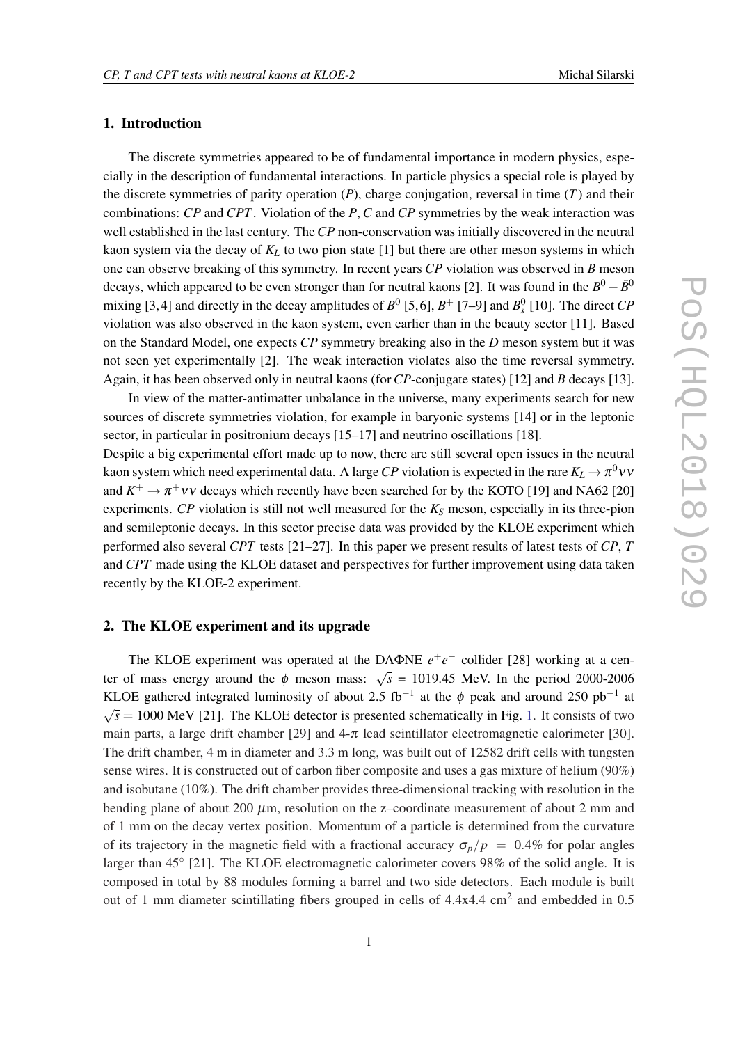## 1. Introduction

The discrete symmetries appeared to be of fundamental importance in modern physics, especially in the description of fundamental interactions. In particle physics a special role is played by the discrete symmetries of parity operation  $(P)$ , charge conjugation, reversal in time  $(T)$  and their combinations: *CP* and *CPT*. Violation of the *P*, *C* and *CP* symmetries by the weak interaction was well established in the last century. The*CP* non-conservation was initially discovered in the neutral kaon system via the decay of *K<sup>L</sup>* to two pion state [1] but there are other meson systems in which one can observe breaking of this symmetry. In recent years *CP* violation was observed in *B* meson decays, which appeared to be even stronger than for neutral kaons [2]. It was found in the  $B^0 - \bar{B}^0$ mixing [3,4] and directly in the decay amplitudes of  $B^0$  [5,6],  $B^+$  [7–9] and  $B_s^0$  [10]. The direct *CP* violation was also observed in the kaon system, even earlier than in the beauty sector [11]. Based on the Standard Model, one expects *CP* symmetry breaking also in the *D* meson system but it was not seen yet experimentally [2]. The weak interaction violates also the time reversal symmetry. Again, it has been observed only in neutral kaons (for *CP*-conjugate states) [12] and *B* decays [13].

In view of the matter-antimatter unbalance in the universe, many experiments search for new sources of discrete symmetries violation, for example in baryonic systems [14] or in the leptonic sector, in particular in positronium decays [15–17] and neutrino oscillations [18].

Despite a big experimental effort made up to now, there are still several open issues in the neutral kaon system which need experimental data. A large  $CP$  violation is expected in the rare  $K_L \rightarrow \pi^0 \nu \nu$ and  $K^+ \to \pi^+ \nu \nu$  decays which recently have been searched for by the KOTO [19] and NA62 [20] experiments. *CP* violation is still not well measured for the *K<sup>S</sup>* meson, especially in its three-pion and semileptonic decays. In this sector precise data was provided by the KLOE experiment which performed also several *CPT* tests [21–27]. In this paper we present results of latest tests of *CP*, *T* and *CPT* made using the KLOE dataset and perspectives for further improvement using data taken recently by the KLOE-2 experiment.

### 2. The KLOE experiment and its upgrade

The KLOE experiment was operated at the DAΦNE  $e^+e^-$  collider [28] working at a center of mass energy around the  $\phi$  meson mass:  $\sqrt{s} = 1019.45$  MeV. In the period 2000-2006 KLOE gathered integrated luminosity of about 2.5 fb<sup>-1</sup> at the  $\phi$  peak and around 250 pb<sup>-1</sup> at √  $\sqrt{s}$  = 1000 MeV [21]. The KLOE detector is presented schematically in Fig. [1.](#page-2-0) It consists of two main parts, a large drift chamber [29] and  $4-\pi$  lead scintillator electromagnetic calorimeter [30]. The drift chamber, 4 m in diameter and 3.3 m long, was built out of 12582 drift cells with tungsten sense wires. It is constructed out of carbon fiber composite and uses a gas mixture of helium (90%) and isobutane (10%). The drift chamber provides three-dimensional tracking with resolution in the bending plane of about 200  $\mu$ m, resolution on the z-coordinate measurement of about 2 mm and of 1 mm on the decay vertex position. Momentum of a particle is determined from the curvature of its trajectory in the magnetic field with a fractional accuracy  $\sigma_p/p = 0.4\%$  for polar angles larger than 45° [21]. The KLOE electromagnetic calorimeter covers 98% of the solid angle. It is composed in total by 88 modules forming a barrel and two side detectors. Each module is built out of 1 mm diameter scintillating fibers grouped in cells of  $4.4x4.4 \text{ cm}^2$  and embedded in 0.5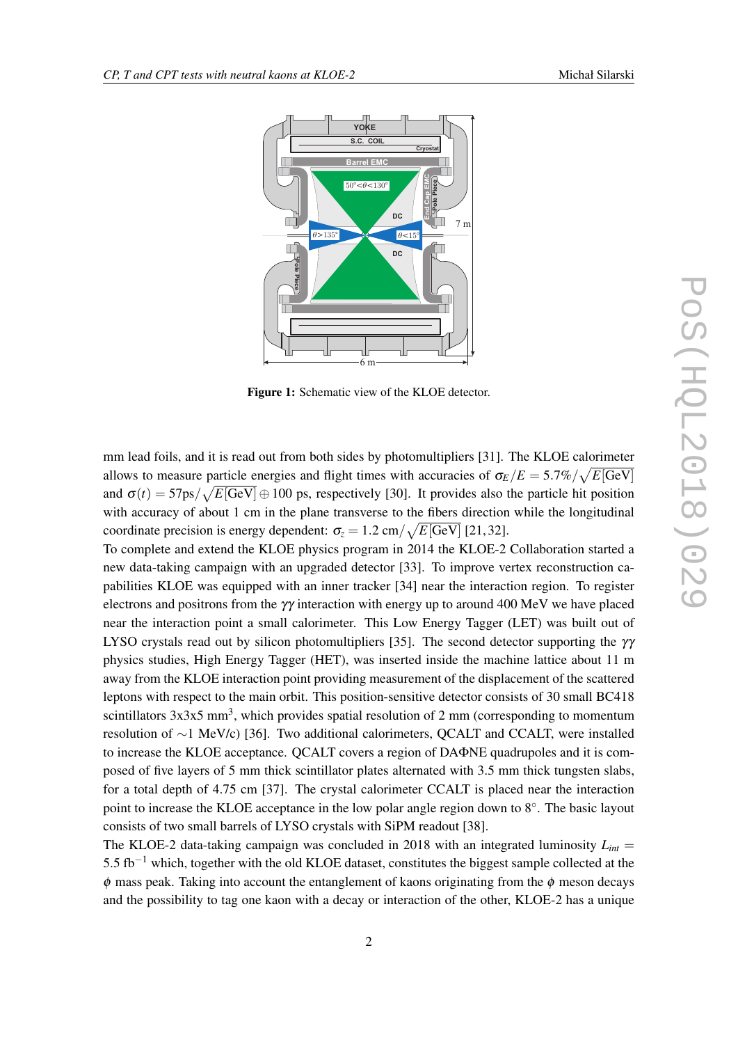<span id="page-2-0"></span>

Figure 1: Schematic view of the KLOE detector.

mm lead foils, and it is read out from both sides by photomultipliers [31]. The KLOE calorimeter allows to measure particle energies and flight times with accuracies of  $\sigma_E/E = 5.7\% / \sqrt{E[\rm GeV]}$ and  $\sigma(t) = 57 \text{ps} / \sqrt{E[\text{GeV}]} \oplus 100 \text{ ps}$ , respectively [30]. It provides also the particle hit position with accuracy of about 1 cm in the plane transverse to the fibers direction while the longitudinal coordinate precision is energy dependent:  $\sigma_z = 1.2 \text{ cm} / \sqrt{E[\text{GeV}]}$  [21,32].

To complete and extend the KLOE physics program in 2014 the KLOE-2 Collaboration started a new data-taking campaign with an upgraded detector [33]. To improve vertex reconstruction capabilities KLOE was equipped with an inner tracker [34] near the interaction region. To register electrons and positrons from the γγ interaction with energy up to around 400 MeV we have placed near the interaction point a small calorimeter. This Low Energy Tagger (LET) was built out of LYSO crystals read out by silicon photomultipliers [35]. The second detector supporting the  $\gamma\gamma$ physics studies, High Energy Tagger (HET), was inserted inside the machine lattice about 11 m away from the KLOE interaction point providing measurement of the displacement of the scattered leptons with respect to the main orbit. This position-sensitive detector consists of 30 small BC418 scintillators  $3x3x5$  mm<sup>3</sup>, which provides spatial resolution of 2 mm (corresponding to momentum resolution of ∼1 MeV/c) [36]. Two additional calorimeters, QCALT and CCALT, were installed to increase the KLOE acceptance. QCALT covers a region of DAΦNE quadrupoles and it is composed of five layers of 5 mm thick scintillator plates alternated with 3.5 mm thick tungsten slabs, for a total depth of 4.75 cm [37]. The crystal calorimeter CCALT is placed near the interaction point to increase the KLOE acceptance in the low polar angle region down to 8°. The basic layout consists of two small barrels of LYSO crystals with SiPM readout [38].

The KLOE-2 data-taking campaign was concluded in 2018 with an integrated luminosity  $L_{int}$ 5.5 fb−<sup>1</sup> which, together with the old KLOE dataset, constitutes the biggest sample collected at the  $\phi$  mass peak. Taking into account the entanglement of kaons originating from the  $\phi$  meson decays and the possibility to tag one kaon with a decay or interaction of the other, KLOE-2 has a unique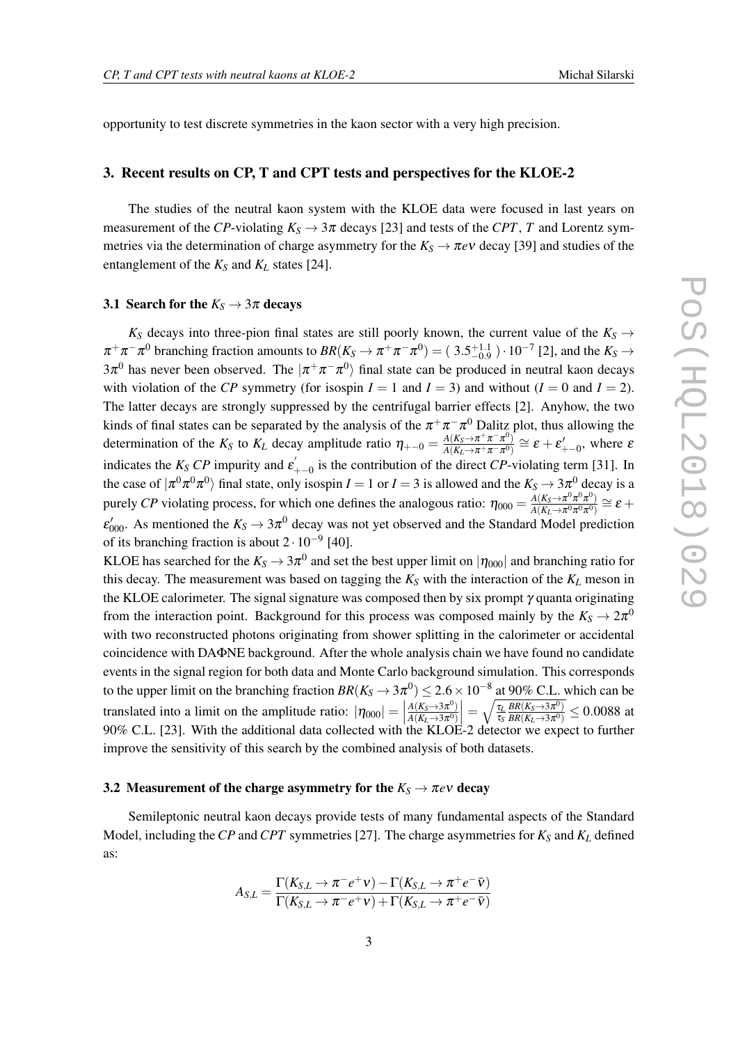opportunity to test discrete symmetries in the kaon sector with a very high precision.

## 3. Recent results on CP, T and CPT tests and perspectives for the KLOE-2

The studies of the neutral kaon system with the KLOE data were focused in last years on measurement of the *CP*-violating  $K_S \rightarrow 3\pi$  decays [23] and tests of the *CPT*, *T* and Lorentz symmetries via the determination of charge asymmetry for the  $K_S \to \pi e \nu$  decay [39] and studies of the entanglement of the  $K_S$  and  $K_L$  states [24].

### 3.1 Search for the  $K_S \rightarrow 3\pi$  decays

 $K_S$  decays into three-pion final states are still poorly known, the current value of the  $K_S \rightarrow$  $\pi^+\pi^-\pi^0$  branching fraction amounts to  $BR(K_S \to \pi^+\pi^-\pi^0) = (3.5^{+1.1}_{-0.9}) \cdot 10^{-7}$  [2], and the  $K_S \to$ 3 $\pi^0$  has never been observed. The  $|\pi^+\pi^-\pi^0\rangle$  final state can be produced in neutral kaon decays with violation of the *CP* symmetry (for isospin  $I = 1$  and  $I = 3$ ) and without  $(I = 0$  and  $I = 2$ ). The latter decays are strongly suppressed by the centrifugal barrier effects [2]. Anyhow, the two kinds of final states can be separated by the analysis of the  $\pi^+\pi^-\pi^0$  Dalitz plot, thus allowing the determination of the  $K_S$  to  $K_L$  decay amplitude ratio  $\eta_{+-0} = \frac{A(K_S \to \pi^+ \pi^- \pi^0)}{A(K_S \to \pi^+ \pi^- \pi^0)}$  $\frac{A(K_S \to \pi^+ \pi^- \pi^0)}{A(K_L \to \pi^+ \pi^- \pi^0)} \cong \varepsilon + \varepsilon'_{+-0}$ , where  $\varepsilon$ indicates the  $K_S$  *CP* impurity and  $\varepsilon$  $\mathbf{F}_{+-0}$  is the contribution of the direct *CP*-violating term [31]. In the case of  $|\pi^0\pi^0\pi^0\rangle$  final state, only isospin *I* = 1 or *I* = 3 is allowed and the  $K_S \to 3\pi^0$  decay is a purely *CP* violating process, for which one defines the analogous ratio:  $\eta_{000} = \frac{A(K_S \to \pi^0 \pi^0 \pi^0)}{A(K_S \to \pi^0 \pi^0 \pi^0)}$  $\frac{A(K_S \to \pi^0 \pi^0 \pi^0)}{A(K_L \to \pi^0 \pi^0 \pi^0)} \cong \bm{\mathcal{E}} +$  $\varepsilon'_{000}$ . As mentioned the  $K_S \to 3\pi^0$  decay was not yet observed and the Standard Model prediction of its branching fraction is about  $2 \cdot 10^{-9}$  [40].

KLOE has searched for the  $K_S\to 3\pi^0$  and set the best upper limit on  $|\eta_{000}|$  and branching ratio for this decay. The measurement was based on tagging the  $K_S$  with the interaction of the  $K_L$  meson in the KLOE calorimeter. The signal signature was composed then by six prompt  $\gamma$  quanta originating from the interaction point. Background for this process was composed mainly by the  $K_S \to 2\pi^0$ with two reconstructed photons originating from shower splitting in the calorimeter or accidental coincidence with DAΦNE background. After the whole analysis chain we have found no candidate events in the signal region for both data and Monte Carlo background simulation. This corresponds to the upper limit on the branching fraction  $BR(K_S \to 3\pi^0) \leq 2.6 \times 10^{-8}$  at 90% C.L. which can be translated into a limit on the amplitude ratio:  $|\eta_{000}| = |00\% \text{ CL}$  [22] With the additional data as lasted with  $A(K_S \rightarrow 3\pi^0)$  $\overline{A(K_L \rightarrow 3\pi^0)}$  $=\sqrt{\frac{\tau_L}{\tau_S}}$ τ*S*  $BR(K_S \rightarrow 3\pi^0)$  $\frac{BR(K_S \to 3\pi^0)}{BR(K_L \to 3\pi^0)} \leq 0.0088$  at 90% C.L. [23]. With the additional data collected with the KLOE-2 detector we expect to further improve the sensitivity of this search by the combined analysis of both datasets.

## 3.2 Measurement of the charge asymmetry for the  $K_S \rightarrow \pi e \nu$  decay

Semileptonic neutral kaon decays provide tests of many fundamental aspects of the Standard Model, including the*CP* and*CPT* symmetries [27]. The charge asymmetries for *K<sup>S</sup>* and *K<sup>L</sup>* defined as:

$$
A_{S,L} = \frac{\Gamma(K_{S,L} \to \pi^- e^+ \nu) - \Gamma(K_{S,L} \to \pi^+ e^- \bar{\nu})}{\Gamma(K_{S,L} \to \pi^- e^+ \nu) + \Gamma(K_{S,L} \to \pi^+ e^- \bar{\nu})}
$$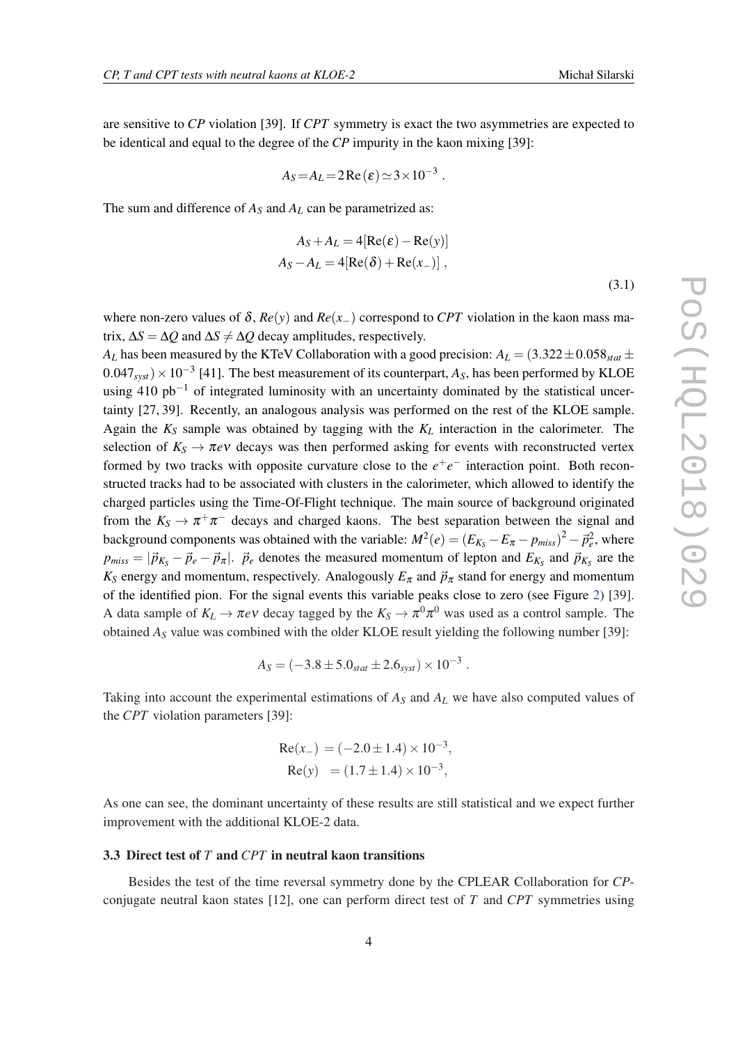are sensitive to *CP* violation [39]. If *CPT* symmetry is exact the two asymmetries are expected to be identical and equal to the degree of the *CP* impurity in the kaon mixing [39]:

$$
A_S = A_L = 2 \operatorname{Re}(\varepsilon) \simeq 3 \times 10^{-3} .
$$

The sum and difference of *A<sup>S</sup>* and *A<sup>L</sup>* can be parametrized as:

$$
A_S + A_L = 4[Re(\varepsilon) - Re(y)]
$$
  

$$
A_S - A_L = 4[Re(\delta) + Re(x_-)],
$$
  
(3.1)

where non-zero values of  $\delta$ ,  $Re(y)$  and  $Re(x_+)$  correspond to *CPT* violation in the kaon mass matrix,  $\Delta S = \Delta Q$  and  $\Delta S \neq \Delta Q$  decay amplitudes, respectively.

*A*<sub>L</sub> has been measured by the KTeV Collaboration with a good precision:  $A_L = (3.322 \pm 0.058_{stat} \pm 0.058_{stat} \pm 0.058_{stat} \pm 0.058_{stat} \pm 0.058_{stat} \pm 0.058_{stat} \pm 0.058_{s}$  $(0.047_{syst}) \times 10^{-3}$  [41]. The best measurement of its counterpart,  $A_S$ , has been performed by KLOE using 410 pb<sup>-1</sup> of integrated luminosity with an uncertainty dominated by the statistical uncertainty [27, 39]. Recently, an analogous analysis was performed on the rest of the KLOE sample. Again the  $K_S$  sample was obtained by tagging with the  $K_L$  interaction in the calorimeter. The selection of  $K_S \to \pi e \nu$  decays was then performed asking for events with reconstructed vertex formed by two tracks with opposite curvature close to the  $e^+e^-$  interaction point. Both reconstructed tracks had to be associated with clusters in the calorimeter, which allowed to identify the charged particles using the Time-Of-Flight technique. The main source of background originated from the  $K_S \to \pi^+ \pi^-$  decays and charged kaons. The best separation between the signal and background components was obtained with the variable:  $M^2(e) = (E_{K_S} - E_{\pi} - p_{miss})^2 - \vec{p}_e^2$ , where  $p_{miss} = |\vec{p}_{K_S} - \vec{p}_e - \vec{p}_{\pi}|$ .  $\vec{p}_e$  denotes the measured momentum of lepton and  $E_{K_S}$  and  $\vec{p}_{K_S}$  are the  $K_S$  energy and momentum, respectively. Analogously  $E_{\pi}$  and  $\vec{p}_{\pi}$  stand for energy and momentum of the identified pion. For the signal events this variable peaks close to zero (see Figure [2](#page-5-0)) [39]. A data sample of  $K_L \to \pi e \nu$  decay tagged by the  $K_S \to \pi^0 \pi^0$  was used as a control sample. The obtained *A<sup>S</sup>* value was combined with the older KLOE result yielding the following number [39]:

$$
A_S = (-3.8 \pm 5.0_{stat} \pm 2.6_{syst}) \times 10^{-3} .
$$

Taking into account the experimental estimations of  $A<sub>S</sub>$  and  $A<sub>L</sub>$  we have also computed values of the *CPT* violation parameters [39]:

Re(*x*−) = (−2.0±1.4)×10−<sup>3</sup> , Re(*y*) = (1.7±1.4)×10−<sup>3</sup> ,

As one can see, the dominant uncertainty of these results are still statistical and we expect further improvement with the additional KLOE-2 data.

#### 3.3 Direct test of *T* and *CPT* in neutral kaon transitions

Besides the test of the time reversal symmetry done by the CPLEAR Collaboration for *CP*conjugate neutral kaon states [12], one can perform direct test of *T* and *CPT* symmetries using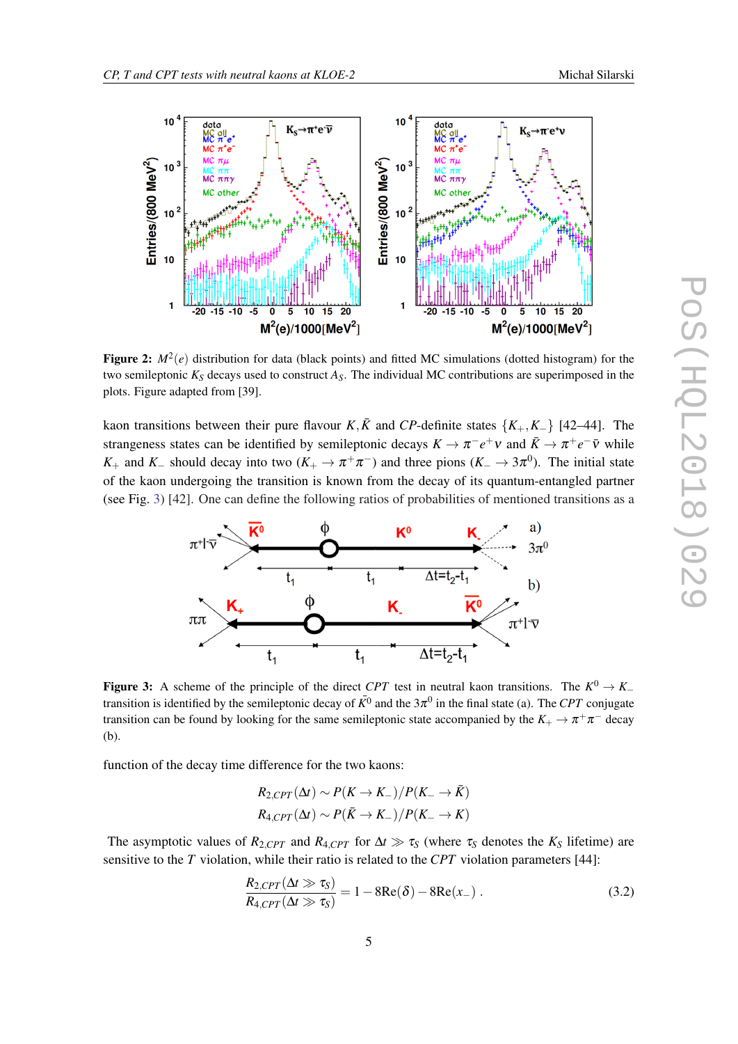<span id="page-5-0"></span>

Figure 2:  $M^2(e)$  distribution for data (black points) and fitted MC simulations (dotted histogram) for the two semileptonic *K<sup>S</sup>* decays used to construct *AS*. The individual MC contributions are superimposed in the plots. Figure adapted from [39].

kaon transitions between their pure flavour *K*,  $\bar{K}$  and *CP*-definite states { $K_{+}$ ,  $K_{-}$ } [42–44]. The strangeness states can be identified by semileptonic decays  $K \to \pi^- e^+ \nu$  and  $\bar{K} \to \pi^+ e^- \bar{\nu}$  while *K*<sub>+</sub> and *K*<sub>−</sub> should decay into two (*K*<sub>+</sub>  $\rightarrow \pi^+\pi^-$ ) and three pions (*K*<sub>−</sub>  $\rightarrow$  3 $\pi^0$ ). The initial state of the kaon undergoing the transition is known from the decay of its quantum-entangled partner (see Fig. 3) [42]. One can define the following ratios of probabilities of mentioned transitions as a



Figure 3: A scheme of the principle of the direct *CPT* test in neutral kaon transitions. The  $K^0 \to K^$ transition is identified by the semileptonic decay of  $\bar{K}^0$  and the  $3\pi^0$  in the final state (a). The *CPT* conjugate transition can be found by looking for the same semileptonic state accompanied by the  $K_+ \to \pi^+ \pi^-$  decay (b).

function of the decay time difference for the two kaons:

$$
R_{2,CPT}(\Delta t) \sim P(K \to K_-)/P(K_- \to \bar{K})
$$
  

$$
R_{4,CPT}(\Delta t) \sim P(\bar{K} \to K_-)/P(K_- \to K)
$$

The asymptotic values of  $R_{2,CPT}$  and  $R_{4,CPT}$  for  $\Delta t \gg \tau_S$  (where  $\tau_S$  denotes the  $K_S$  lifetime) are sensitive to the *T* violation, while their ratio is related to the *CPT* violation parameters [44]:

$$
\frac{R_{2,CPT}(\Delta t \gg \tau_S)}{R_{4,CPT}(\Delta t \gg \tau_S)} = 1 - 8\text{Re}(\delta) - 8\text{Re}(x_-) \ . \tag{3.2}
$$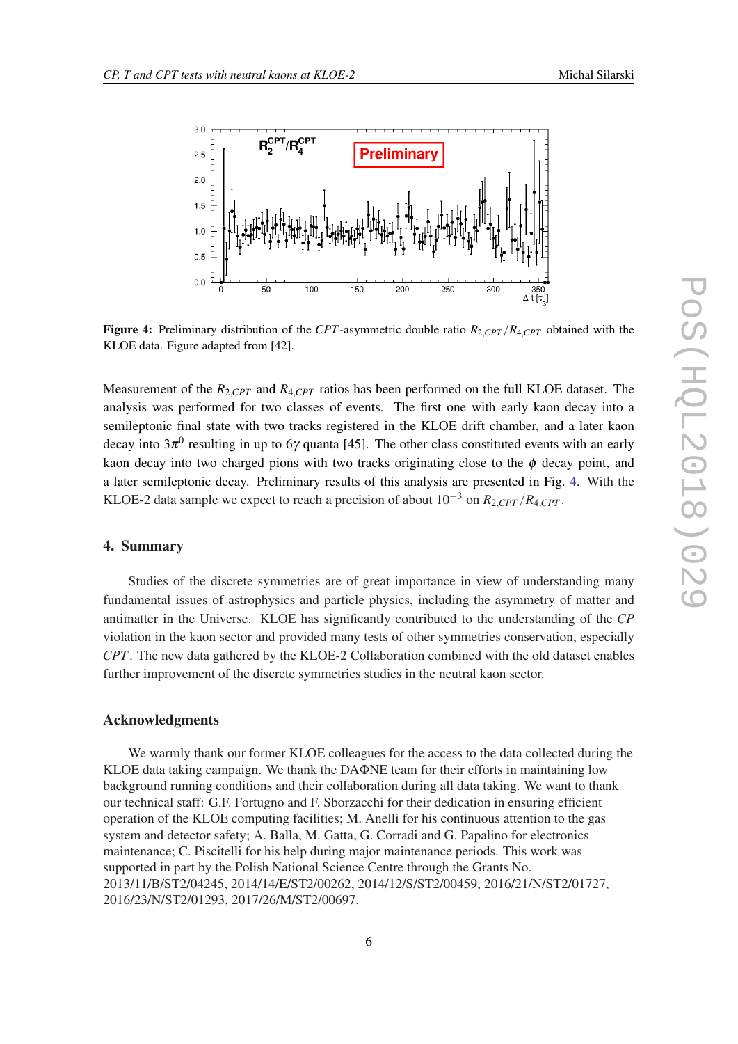

Figure 4: Preliminary distribution of the *CPT*-asymmetric double ratio  $R_{2,CPT}/R_{4,CPT}$  obtained with the KLOE data. Figure adapted from [42].

Measurement of the  $R_{2, CPT}$  and  $R_{4, CPT}$  ratios has been performed on the full KLOE dataset. The analysis was performed for two classes of events. The first one with early kaon decay into a semileptonic final state with two tracks registered in the KLOE drift chamber, and a later kaon decay into 3 $\pi^0$  resulting in up to 6 $\gamma$  quanta [45]. The other class constituted events with an early kaon decay into two charged pions with two tracks originating close to the  $\phi$  decay point, and a later semileptonic decay. Preliminary results of this analysis are presented in Fig. 4. With the KLOE-2 data sample we expect to reach a precision of about  $10^{-3}$  on  $R_{2,CPT}/R_{4,CPT}$ .

## 4. Summary

Studies of the discrete symmetries are of great importance in view of understanding many fundamental issues of astrophysics and particle physics, including the asymmetry of matter and antimatter in the Universe. KLOE has significantly contributed to the understanding of the *CP* violation in the kaon sector and provided many tests of other symmetries conservation, especially *CPT*. The new data gathered by the KLOE-2 Collaboration combined with the old dataset enables further improvement of the discrete symmetries studies in the neutral kaon sector.

### Acknowledgments

We warmly thank our former KLOE colleagues for the access to the data collected during the KLOE data taking campaign. We thank the DAΦNE team for their efforts in maintaining low background running conditions and their collaboration during all data taking. We want to thank our technical staff: G.F. Fortugno and F. Sborzacchi for their dedication in ensuring efficient operation of the KLOE computing facilities; M. Anelli for his continuous attention to the gas system and detector safety; A. Balla, M. Gatta, G. Corradi and G. Papalino for electronics maintenance; C. Piscitelli for his help during major maintenance periods. This work was supported in part by the Polish National Science Centre through the Grants No. 2013/11/B/ST2/04245, 2014/14/E/ST2/00262, 2014/12/S/ST2/00459, 2016/21/N/ST2/01727, 2016/23/N/ST2/01293, 2017/26/M/ST2/00697.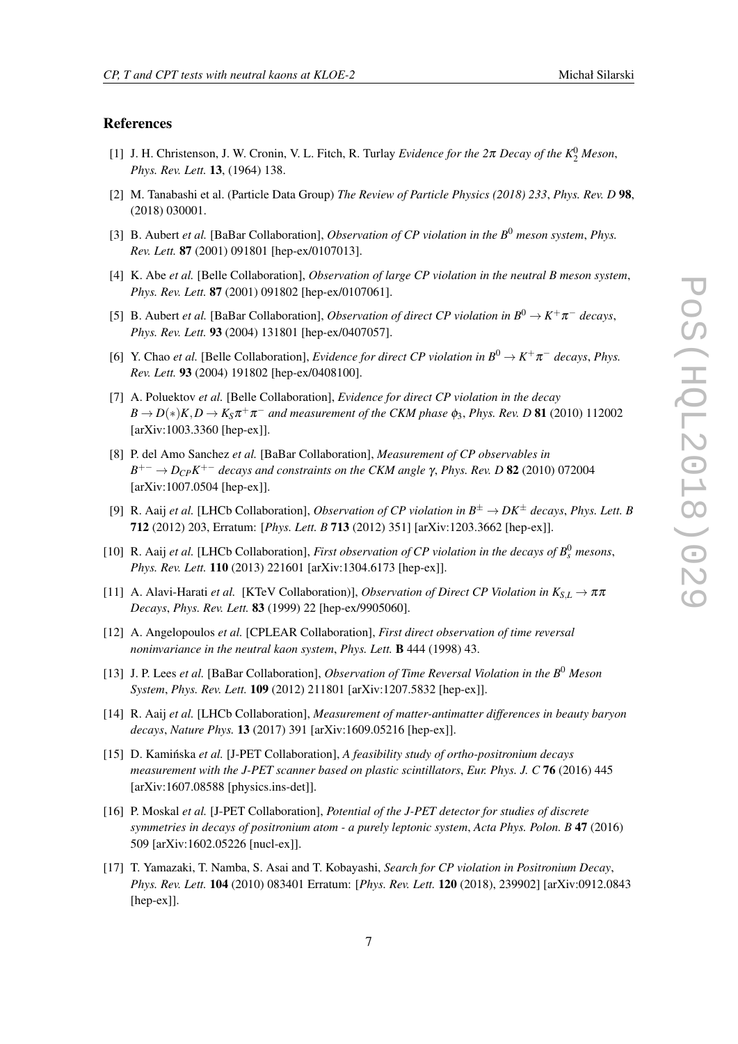#### References

- [1] J. H. Christenson, J. W. Cronin, V. L. Fitch, R. Turlay *Evidence for the*  $2\pi$  *Decay of the*  $K_2^0$  *Meson*, *Phys. Rev. Lett.* 13, (1964) 138.
- [2] M. Tanabashi et al. (Particle Data Group) *The Review of Particle Physics (2018) 233*, *Phys. Rev. D* 98, (2018) 030001.
- [3] B. Aubert *et al.* [BaBar Collaboration], *Observation of CP violation in the B*<sup>0</sup> *meson system*, *Phys. Rev. Lett.* 87 (2001) 091801 [hep-ex/0107013].
- [4] K. Abe *et al.* [Belle Collaboration], *Observation of large CP violation in the neutral B meson system*, *Phys. Rev. Lett.* 87 (2001) 091802 [hep-ex/0107061].
- [5] B. Aubert *et al.* [BaBar Collaboration], *Observation of direct CP violation in*  $B^0 \to K^+\pi^-$  *decays*, *Phys. Rev. Lett.* 93 (2004) 131801 [hep-ex/0407057].
- [6] Y. Chao *et al.* [Belle Collaboration], *Evidence for direct CP violation in*  $B^0 \to K^+\pi^-$  *decays, Phys. Rev. Lett.* 93 (2004) 191802 [hep-ex/0408100].
- [7] A. Poluektov *et al.* [Belle Collaboration], *Evidence for direct CP violation in the decay*  $B \to D(*)K$ ,  $D \to K_S \pi^+ \pi^-$  and measurement of the CKM phase  $\phi_3$ , Phys. Rev. D **81** (2010) 112002 [arXiv:1003.3360 [hep-ex]].
- [8] P. del Amo Sanchez *et al.* [BaBar Collaboration], *Measurement of CP observables in*  $B^{+-}$   $\rightarrow$  *D<sub>CP</sub>K*<sup>+–</sup> *decays and constraints on the CKM angle γ, Phys. Rev. D* **82** (2010) 072004 [arXiv:1007.0504 [hep-ex]].
- [9] R. Aaij *et al.* [LHCb Collaboration], *Observation of CP violation in*  $B^{\pm} \to DK^{\pm}$  *decays, Phys. Lett. B* 712 (2012) 203, Erratum: [*Phys. Lett. B* 713 (2012) 351] [arXiv:1203.3662 [hep-ex]].
- [10] R. Aaij *et al.* [LHCb Collaboration], *First observation of CP violation in the decays of*  $B_s^0$  *mesons*, *Phys. Rev. Lett.* 110 (2013) 221601 [arXiv:1304.6173 [hep-ex]].
- [11] A. Alavi-Harati *et al.* [KTeV Collaboration]], *Observation of Direct CP Violation in*  $K_{S,I} \rightarrow \pi \pi$ *Decays*, *Phys. Rev. Lett.* 83 (1999) 22 [hep-ex/9905060].
- [12] A. Angelopoulos *et al.* [CPLEAR Collaboration], *First direct observation of time reversal noninvariance in the neutral kaon system*, *Phys. Lett.* B 444 (1998) 43.
- [13] J. P. Lees *et al.* [BaBar Collaboration], *Observation of Time Reversal Violation in the B*<sup>0</sup> *Meson System*, *Phys. Rev. Lett.* 109 (2012) 211801 [arXiv:1207.5832 [hep-ex]].
- [14] R. Aaij *et al.* [LHCb Collaboration], *Measurement of matter-antimatter differences in beauty baryon decays*, *Nature Phys.* 13 (2017) 391 [arXiv:1609.05216 [hep-ex]].
- [15] D. Kaminska ´ *et al.* [J-PET Collaboration], *A feasibility study of ortho-positronium decays measurement with the J-PET scanner based on plastic scintillators*, *Eur. Phys. J. C* 76 (2016) 445 [arXiv:1607.08588 [physics.ins-det]].
- [16] P. Moskal *et al.* [J-PET Collaboration], *Potential of the J-PET detector for studies of discrete symmetries in decays of positronium atom - a purely leptonic system*, *Acta Phys. Polon. B* 47 (2016) 509 [arXiv:1602.05226 [nucl-ex]].
- [17] T. Yamazaki, T. Namba, S. Asai and T. Kobayashi, *Search for CP violation in Positronium Decay*, *Phys. Rev. Lett.* 104 (2010) 083401 Erratum: [*Phys. Rev. Lett.* 120 (2018), 239902] [arXiv:0912.0843 [hep-ex]].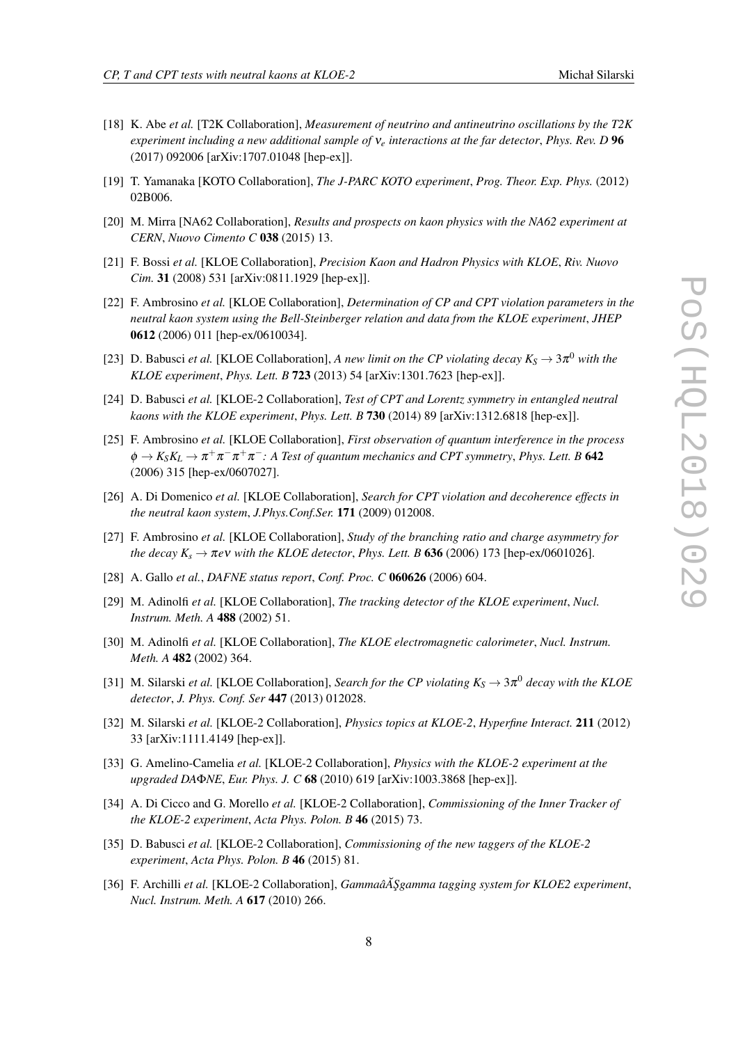- [18] K. Abe *et al.* [T2K Collaboration], *Measurement of neutrino and antineutrino oscillations by the T2K experiment including a new additional sample of* ν*<sup>e</sup> interactions at the far detector*, *Phys. Rev. D* 96 (2017) 092006 [arXiv:1707.01048 [hep-ex]].
- [19] T. Yamanaka [KOTO Collaboration], *The J-PARC KOTO experiment*, *Prog. Theor. Exp. Phys.* (2012) 02B006.
- [20] M. Mirra [NA62 Collaboration], *Results and prospects on kaon physics with the NA62 experiment at CERN*, *Nuovo Cimento C* 038 (2015) 13.
- [21] F. Bossi *et al.* [KLOE Collaboration], *Precision Kaon and Hadron Physics with KLOE*, *Riv. Nuovo Cim.* 31 (2008) 531 [arXiv:0811.1929 [hep-ex]].
- [22] F. Ambrosino *et al.* [KLOE Collaboration], *Determination of CP and CPT violation parameters in the neutral kaon system using the Bell-Steinberger relation and data from the KLOE experiment*, *JHEP* 0612 (2006) 011 [hep-ex/0610034].
- [23] D. Babusci *et al.* [KLOE Collaboration], *A new limit on the CP violating decay*  $K_S \to 3\pi^0$  *with the KLOE experiment*, *Phys. Lett. B* 723 (2013) 54 [arXiv:1301.7623 [hep-ex]].
- [24] D. Babusci *et al.* [KLOE-2 Collaboration], *Test of CPT and Lorentz symmetry in entangled neutral kaons with the KLOE experiment*, *Phys. Lett. B* 730 (2014) 89 [arXiv:1312.6818 [hep-ex]].
- [25] F. Ambrosino *et al.* [KLOE Collaboration], *First observation of quantum interference in the process*  $\phi \to K_S K_L \to \pi^+ \pi^- \pi^+ \pi^-$ : A Test of quantum mechanics and CPT symmetry, Phys. Lett. B 642 (2006) 315 [hep-ex/0607027].
- [26] A. Di Domenico *et al.* [KLOE Collaboration], *Search for CPT violation and decoherence effects in the neutral kaon system*, *J.Phys.Conf.Ser.* 171 (2009) 012008.
- [27] F. Ambrosino *et al.* [KLOE Collaboration], *Study of the branching ratio and charge asymmetry for the decay*  $K_s \rightarrow \pi e \nu$  *with the KLOE detector, Phys. Lett. B* 636 (2006) 173 [hep-ex/0601026].
- [28] A. Gallo *et al.*, *DAFNE status report*, *Conf. Proc. C* 060626 (2006) 604.
- [29] M. Adinolfi *et al.* [KLOE Collaboration], *The tracking detector of the KLOE experiment*, *Nucl. Instrum. Meth. A* 488 (2002) 51.
- [30] M. Adinolfi *et al.* [KLOE Collaboration], *The KLOE electromagnetic calorimeter*, *Nucl. Instrum. Meth. A* 482 (2002) 364.
- [31] M. Silarski *et al.* [KLOE Collaboration], *Search for the CP violating*  $K_S \to 3\pi^0$  *decay with the KLOE detector*, *J. Phys. Conf. Ser* 447 (2013) 012028.
- [32] M. Silarski *et al.* [KLOE-2 Collaboration], *Physics topics at KLOE-2*, *Hyperfine Interact.* 211 (2012) 33 [arXiv:1111.4149 [hep-ex]].
- [33] G. Amelino-Camelia *et al.* [KLOE-2 Collaboration], *Physics with the KLOE-2 experiment at the upgraded DA*Φ*NE*, *Eur. Phys. J. C* 68 (2010) 619 [arXiv:1003.3868 [hep-ex]].
- [34] A. Di Cicco and G. Morello *et al.* [KLOE-2 Collaboration], *Commissioning of the Inner Tracker of the KLOE-2 experiment*, *Acta Phys. Polon. B* 46 (2015) 73.
- [35] D. Babusci *et al.* [KLOE-2 Collaboration], *Commissioning of the new taggers of the KLOE-2 experiment*, *Acta Phys. Polon. B* 46 (2015) 81.
- [36] F. Archilli et al. [KLOE-2 Collaboration], *GammaâA Şgamma tagging system for KLOE2 experiment*, *Nucl. Instrum. Meth. A* 617 (2010) 266.